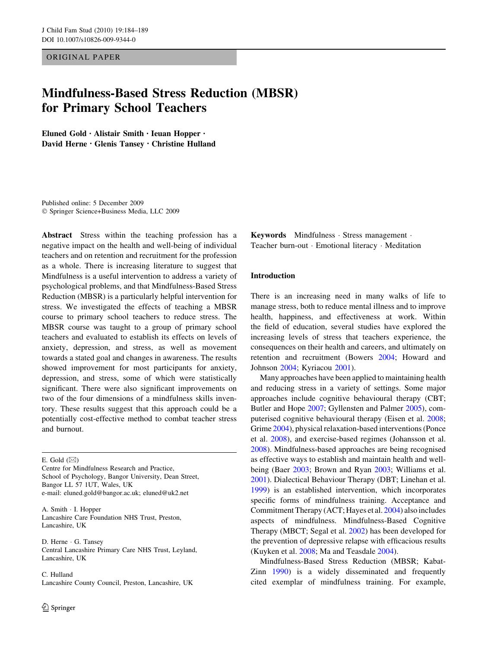ORIGINAL PAPER

# Mindfulness-Based Stress Reduction (MBSR) for Primary School Teachers

Eluned Gold • Alistair Smith • Ieuan Hopper • David Herne • Glenis Tansey • Christine Hulland

Published online: 5 December 2009 Springer Science+Business Media, LLC 2009

Abstract Stress within the teaching profession has a negative impact on the health and well-being of individual teachers and on retention and recruitment for the profession as a whole. There is increasing literature to suggest that Mindfulness is a useful intervention to address a variety of psychological problems, and that Mindfulness-Based Stress Reduction (MBSR) is a particularly helpful intervention for stress. We investigated the effects of teaching a MBSR course to primary school teachers to reduce stress. The MBSR course was taught to a group of primary school teachers and evaluated to establish its effects on levels of anxiety, depression, and stress, as well as movement towards a stated goal and changes in awareness. The results showed improvement for most participants for anxiety, depression, and stress, some of which were statistically significant. There were also significant improvements on two of the four dimensions of a mindfulness skills inventory. These results suggest that this approach could be a potentially cost-effective method to combat teacher stress and burnout.

E. Gold  $(\boxtimes)$ 

Centre for Mindfulness Research and Practice, School of Psychology, Bangor University, Dean Street, Bangor LL 57 1UT, Wales, UK e-mail: eluned.gold@bangor.ac.uk; eluned@uk2.net

A. Smith  $\cdot$  I. Hopper Lancashire Care Foundation NHS Trust, Preston, Lancashire, UK

D. Herne · G. Tansey Central Lancashire Primary Care NHS Trust, Leyland, Lancashire, UK

C. Hulland Lancashire County Council, Preston, Lancashire, UK Keywords Mindfulness Stress management · Teacher burn-out · Emotional literacy · Meditation

## Introduction

There is an increasing need in many walks of life to manage stress, both to reduce mental illness and to improve health, happiness, and effectiveness at work. Within the field of education, several studies have explored the increasing levels of stress that teachers experience, the consequences on their health and careers, and ultimately on retention and recruitment (Bowers [2004](#page-5-0); Howard and Johnson [2004](#page-5-0); Kyriacou [2001\)](#page-5-0).

Many approaches have been applied to maintaining health and reducing stress in a variety of settings. Some major approaches include cognitive behavioural therapy (CBT; Butler and Hope [2007](#page-5-0); Gyllensten and Palmer [2005](#page-5-0)), computerised cognitive behavioural therapy (Eisen et al. [2008](#page-5-0); Grime [2004](#page-5-0)), physical relaxation-based interventions (Ponce et al. [2008](#page-5-0)), and exercise-based regimes (Johansson et al. [2008\)](#page-5-0). Mindfulness-based approaches are being recognised as effective ways to establish and maintain health and wellbeing (Baer [2003;](#page-5-0) Brown and Ryan [2003](#page-5-0); Williams et al. [2001\)](#page-5-0). Dialectical Behaviour Therapy (DBT; Linehan et al. [1999\)](#page-5-0) is an established intervention, which incorporates specific forms of mindfulness training. Acceptance and Commitment Therapy (ACT; Hayes et al. [2004\)](#page-5-0) also includes aspects of mindfulness. Mindfulness-Based Cognitive Therapy (MBCT; Segal et al. [2002\)](#page-5-0) has been developed for the prevention of depressive relapse with efficacious results (Kuyken et al. [2008](#page-5-0); Ma and Teasdale [2004\)](#page-5-0).

Mindfulness-Based Stress Reduction (MBSR; Kabat-Zinn [1990](#page-5-0)) is a widely disseminated and frequently cited exemplar of mindfulness training. For example,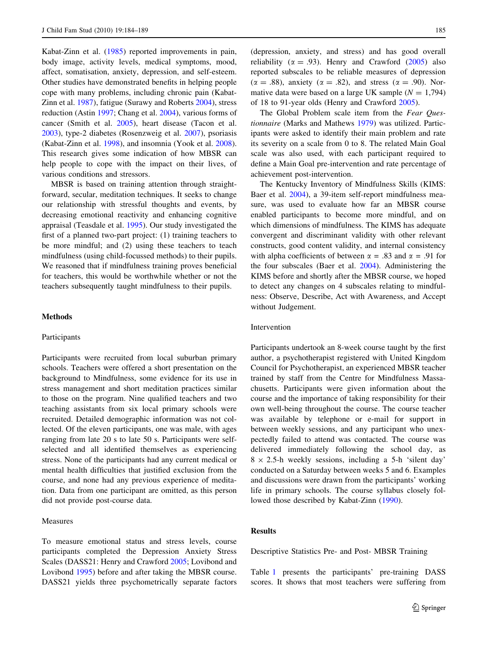Kabat-Zinn et al. [\(1985](#page-5-0)) reported improvements in pain, body image, activity levels, medical symptoms, mood, affect, somatisation, anxiety, depression, and self-esteem. Other studies have demonstrated benefits in helping people cope with many problems, including chronic pain (Kabat-Zinn et al. [1987](#page-5-0)), fatigue (Surawy and Roberts [2004\)](#page-5-0), stress reduction (Astin [1997;](#page-5-0) Chang et al. [2004\)](#page-5-0), various forms of cancer (Smith et al. [2005\)](#page-5-0), heart disease (Tacon et al. [2003\)](#page-5-0), type-2 diabetes (Rosenzweig et al. [2007\)](#page-5-0), psoriasis (Kabat-Zinn et al. [1998](#page-5-0)), and insomnia (Yook et al. [2008](#page-5-0)). This research gives some indication of how MBSR can help people to cope with the impact on their lives, of various conditions and stressors.

MBSR is based on training attention through straightforward, secular, meditation techniques. It seeks to change our relationship with stressful thoughts and events, by decreasing emotional reactivity and enhancing cognitive appraisal (Teasdale et al. [1995](#page-5-0)). Our study investigated the first of a planned two-part project: (1) training teachers to be more mindful; and (2) using these teachers to teach mindfulness (using child-focussed methods) to their pupils. We reasoned that if mindfulness training proves beneficial for teachers, this would be worthwhile whether or not the teachers subsequently taught mindfulness to their pupils.

## Methods

#### Participants

Participants were recruited from local suburban primary schools. Teachers were offered a short presentation on the background to Mindfulness, some evidence for its use in stress management and short meditation practices similar to those on the program. Nine qualified teachers and two teaching assistants from six local primary schools were recruited. Detailed demographic information was not collected. Of the eleven participants, one was male, with ages ranging from late 20 s to late 50 s. Participants were selfselected and all identified themselves as experiencing stress. None of the participants had any current medical or mental health difficulties that justified exclusion from the course, and none had any previous experience of meditation. Data from one participant are omitted, as this person did not provide post-course data.

## Measures

To measure emotional status and stress levels, course participants completed the Depression Anxiety Stress Scales (DASS21: Henry and Crawford [2005](#page-5-0); Lovibond and Lovibond [1995\)](#page-5-0) before and after taking the MBSR course. DASS21 yields three psychometrically separate factors (depression, anxiety, and stress) and has good overall reliability ( $\alpha = .93$ ). Henry and Crawford ([2005\)](#page-5-0) also reported subscales to be reliable measures of depression  $(\alpha = .88)$ , anxiety ( $\alpha = .82$ ), and stress ( $\alpha = .90$ ). Normative data were based on a large UK sample  $(N = 1,794)$ of 18 to 91-year olds (Henry and Crawford [2005\)](#page-5-0).

The Global Problem scale item from the Fear Ouestionnaire (Marks and Mathews [1979](#page-5-0)) was utilized. Participants were asked to identify their main problem and rate its severity on a scale from 0 to 8. The related Main Goal scale was also used, with each participant required to define a Main Goal pre-intervention and rate percentage of achievement post-intervention.

The Kentucky Inventory of Mindfulness Skills (KIMS: Baer et al. [2004](#page-5-0)), a 39-item self-report mindfulness measure, was used to evaluate how far an MBSR course enabled participants to become more mindful, and on which dimensions of mindfulness. The KIMS has adequate convergent and discriminant validity with other relevant constructs, good content validity, and internal consistency with alpha coefficients of between  $\alpha = .83$  and  $\alpha = .91$  for the four subscales (Baer et al. [2004](#page-5-0)). Administering the KIMS before and shortly after the MBSR course, we hoped to detect any changes on 4 subscales relating to mindfulness: Observe, Describe, Act with Awareness, and Accept without Judgement.

#### Intervention

Participants undertook an 8-week course taught by the first author, a psychotherapist registered with United Kingdom Council for Psychotherapist, an experienced MBSR teacher trained by staff from the Centre for Mindfulness Massachusetts. Participants were given information about the course and the importance of taking responsibility for their own well-being throughout the course. The course teacher was available by telephone or e-mail for support in between weekly sessions, and any participant who unexpectedly failed to attend was contacted. The course was delivered immediately following the school day, as  $8 \times 2.5$ -h weekly sessions, including a 5-h 'silent day' conducted on a Saturday between weeks 5 and 6. Examples and discussions were drawn from the participants' working life in primary schools. The course syllabus closely followed those described by Kabat-Zinn [\(1990](#page-5-0)).

## **Results**

Descriptive Statistics Pre- and Post- MBSR Training

Table [1](#page-2-0) presents the participants' pre-training DASS scores. It shows that most teachers were suffering from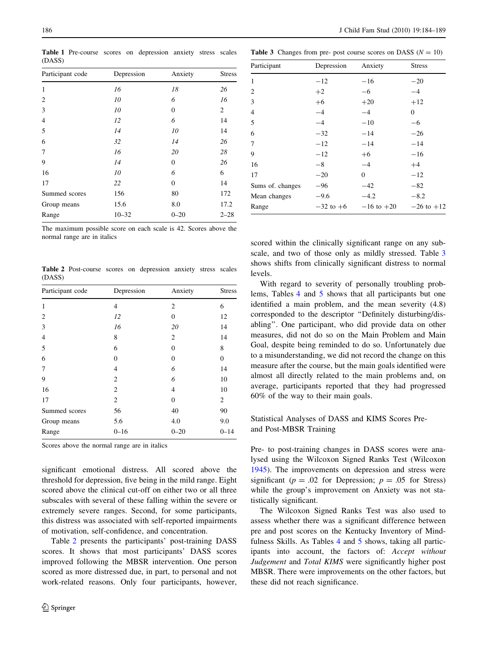(DASS)

**Table 3** Changes from pre- post course scores on DASS ( $N = 10$ )

| Participant code | Depression | Anxiety      | <b>Stress</b> |  |
|------------------|------------|--------------|---------------|--|
| $\mathbf{1}$     | 16         | 18           | 26            |  |
| 2                | 10         | 6            | 16            |  |
| 3                | 10         | $\mathbf{0}$ | 2             |  |
| 4                | 12         | 6            | 14            |  |
| 5                | 14         | 10           | 14            |  |
| 6                | 32         | 14           | 26            |  |
| 7                | 16         | 20           | 28            |  |
| 9                | 14         | $\Omega$     | 26            |  |
| 16               | 10         | 6            | 6             |  |
| 17               | 22         | $\Omega$     | 14            |  |
| Summed scores    | 156        | 80           | 172           |  |
| Group means      | 15.6       | 8.0          | 17.2          |  |
| Range            | $10 - 32$  | $0 - 20$     | $2 - 28$      |  |

<span id="page-2-0"></span>Table 1 Pre-course scores on depression anxiety stress scales

The maximum possible score on each scale is 42. Scores above the normal range are in italics

Table 2 Post-course scores on depression anxiety stress scales (DASS)

| Participant code | Depression     | Anxiety        | <b>Stress</b> |  |
|------------------|----------------|----------------|---------------|--|
| $\mathbf{1}$     | $\overline{4}$ | $\overline{c}$ | 6             |  |
| $\overline{2}$   | 12             | 0              | 12            |  |
| 3                | 16             | 20             | 14            |  |
| 4                | 8              | 2              | 14            |  |
| 5                | 6              | 0              | 8             |  |
| 6                | $\overline{0}$ | 0              | $\mathbf{0}$  |  |
| 7                | $\overline{4}$ | 6              | 14            |  |
| 9                | 2              | 6              | 10            |  |
| 16               | 2              | 4              | 10            |  |
| 17               | $\overline{2}$ | $\overline{0}$ | 2             |  |
| Summed scores    | 56             | 40             | 90            |  |
| Group means      | 5.6            | 4.0            | 9.0           |  |
| Range            | $0 - 16$       | $0 - 20$       | $0 - 14$      |  |

Scores above the normal range are in italics

significant emotional distress. All scored above the threshold for depression, five being in the mild range. Eight scored above the clinical cut-off on either two or all three subscales with several of these falling within the severe or extremely severe ranges. Second, for some participants, this distress was associated with self-reported impairments of motivation, self-confidence, and concentration.

Table 2 presents the participants' post-training DASS scores. It shows that most participants' DASS scores improved following the MBSR intervention. One person scored as more distressed due, in part, to personal and not work-related reasons. Only four participants, however,

| Participant     | Depression    | Anxiety        | <b>Stress</b>  |
|-----------------|---------------|----------------|----------------|
| 1               | $-12$         | $-16$          | $-20$          |
| 2               | $+2$          | -6             | $-4$           |
| 3               | $+6$          | $+20$          | $+12$          |
| $\overline{4}$  | $-4$          | $-4$           | $\mathbf{0}$   |
| 5               | $-4$          | $-10$          | $-6$           |
| 6               | $-32$         | $-14$          | $-26$          |
| 7               | $-12$         | $-14$          | $-14$          |
| 9               | $-12$         | $+6$           | $-16$          |
| 16              | $-8$          | $-4$           | $+4$           |
| 17              | $-20$         | $\overline{0}$ | $-12$          |
| Sums of changes | $-96$         | $-42$          | $-82$          |
| Mean changes    | $-9.6$        | $-4.2$         | $-8.2$         |
| Range           | $-32$ to $+6$ | $-16$ to $+20$ | $-26$ to $+12$ |

scored within the clinically significant range on any subscale, and two of those only as mildly stressed. Table 3 shows shifts from clinically significant distress to normal levels.

With regard to severity of personally troubling problems, Tables [4](#page-3-0) and [5](#page-4-0) shows that all participants but one identified a main problem, and the mean severity (4.8) corresponded to the descriptor ''Definitely disturbing/disabling''. One participant, who did provide data on other measures, did not do so on the Main Problem and Main Goal, despite being reminded to do so. Unfortunately due to a misunderstanding, we did not record the change on this measure after the course, but the main goals identified were almost all directly related to the main problems and, on average, participants reported that they had progressed 60% of the way to their main goals.

Statistical Analyses of DASS and KIMS Scores Preand Post-MBSR Training

Pre- to post-training changes in DASS scores were analysed using the Wilcoxon Signed Ranks Test (Wilcoxon [1945](#page-5-0)). The improvements on depression and stress were significant ( $p = .02$  for Depression;  $p = .05$  for Stress) while the group's improvement on Anxiety was not statistically significant.

The Wilcoxon Signed Ranks Test was also used to assess whether there was a significant difference between pre and post scores on the Kentucky Inventory of Mindfulness Skills. As Tables [4](#page-3-0) and [5](#page-4-0) shows, taking all participants into account, the factors of: Accept without Judgement and Total KIMS were significantly higher post MBSR. There were improvements on the other factors, but these did not reach significance.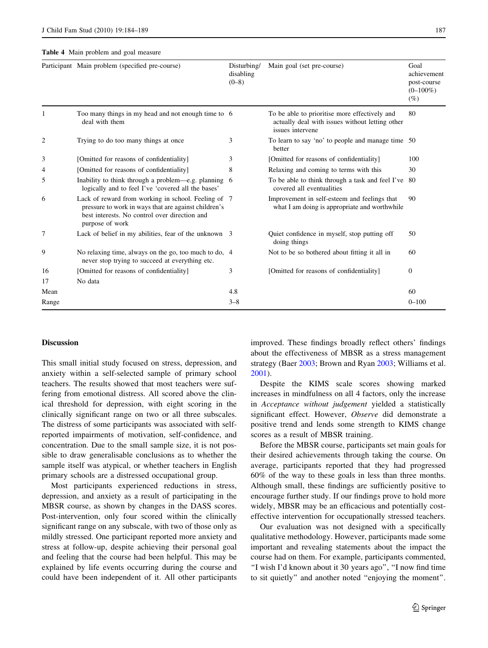#### <span id="page-3-0"></span>Table 4 Main problem and goal measure

|                | Participant Main problem (specified pre-course)                                                                                                                                 | Disturbing/<br>disabling<br>$(0-8)$ | Main goal (set pre-course)                                                                                           | Goal<br>achievement<br>post-course<br>$(0-100\%)$<br>$(\%)$ |
|----------------|---------------------------------------------------------------------------------------------------------------------------------------------------------------------------------|-------------------------------------|----------------------------------------------------------------------------------------------------------------------|-------------------------------------------------------------|
|                | Too many things in my head and not enough time to 6<br>deal with them                                                                                                           |                                     | To be able to prioritise more effectively and<br>actually deal with issues without letting other<br>issues intervene | 80                                                          |
| $\overline{2}$ | Trying to do too many things at once                                                                                                                                            | 3                                   | To learn to say 'no' to people and manage time 50<br>better                                                          |                                                             |
| 3              | [Omitted for reasons of confidentiality]                                                                                                                                        | 3                                   | [Omitted for reasons of confidentiality]                                                                             | 100                                                         |
| 4              | [Omitted for reasons of confidentiality]                                                                                                                                        | 8                                   | Relaxing and coming to terms with this                                                                               | 30                                                          |
| 5              | Inability to think through a problem—e.g. planning 6<br>logically and to feel I've 'covered all the bases'                                                                      |                                     | To be able to think through a task and feel I've 80<br>covered all eventualities                                     |                                                             |
| 6              | Lack of reward from working in school. Feeling of 7<br>pressure to work in ways that are against children's<br>best interests. No control over direction and<br>purpose of work |                                     | Improvement in self-esteem and feelings that<br>what I am doing is appropriate and worthwhile                        | 90                                                          |
| 7              | Lack of belief in my abilities, fear of the unknown 3                                                                                                                           |                                     | Quiet confidence in myself, stop putting off<br>doing things                                                         | 50                                                          |
| 9              | No relaxing time, always on the go, too much to do, 4<br>never stop trying to succeed at everything etc.                                                                        |                                     | Not to be so bothered about fitting it all in                                                                        | 60                                                          |
| 16             | [Omitted for reasons of confidentiality]                                                                                                                                        | 3                                   | [Omitted for reasons of confidentiality]                                                                             | $\boldsymbol{0}$                                            |
| 17             | No data                                                                                                                                                                         |                                     |                                                                                                                      |                                                             |
| Mean           |                                                                                                                                                                                 | 4.8                                 |                                                                                                                      | 60                                                          |
| Range          |                                                                                                                                                                                 | $3 - 8$                             |                                                                                                                      | $0 - 100$                                                   |

# Discussion

This small initial study focused on stress, depression, and anxiety within a self-selected sample of primary school teachers. The results showed that most teachers were suffering from emotional distress. All scored above the clinical threshold for depression, with eight scoring in the clinically significant range on two or all three subscales. The distress of some participants was associated with selfreported impairments of motivation, self-confidence, and concentration. Due to the small sample size, it is not possible to draw generalisable conclusions as to whether the sample itself was atypical, or whether teachers in English primary schools are a distressed occupational group.

Most participants experienced reductions in stress, depression, and anxiety as a result of participating in the MBSR course, as shown by changes in the DASS scores. Post-intervention, only four scored within the clinically significant range on any subscale, with two of those only as mildly stressed. One participant reported more anxiety and stress at follow-up, despite achieving their personal goal and feeling that the course had been helpful. This may be explained by life events occurring during the course and could have been independent of it. All other participants improved. These findings broadly reflect others' findings about the effectiveness of MBSR as a stress management strategy (Baer [2003;](#page-5-0) Brown and Ryan [2003](#page-5-0); Williams et al. [2001](#page-5-0)).

Despite the KIMS scale scores showing marked increases in mindfulness on all 4 factors, only the increase in Acceptance without judgement yielded a statistically significant effect. However, Observe did demonstrate a positive trend and lends some strength to KIMS change scores as a result of MBSR training.

Before the MBSR course, participants set main goals for their desired achievements through taking the course. On average, participants reported that they had progressed 60% of the way to these goals in less than three months. Although small, these findings are sufficiently positive to encourage further study. If our findings prove to hold more widely, MBSR may be an efficacious and potentially costeffective intervention for occupationally stressed teachers.

Our evaluation was not designed with a specifically qualitative methodology. However, participants made some important and revealing statements about the impact the course had on them. For example, participants commented, ''I wish I'd known about it 30 years ago'', ''I now find time to sit quietly'' and another noted ''enjoying the moment''.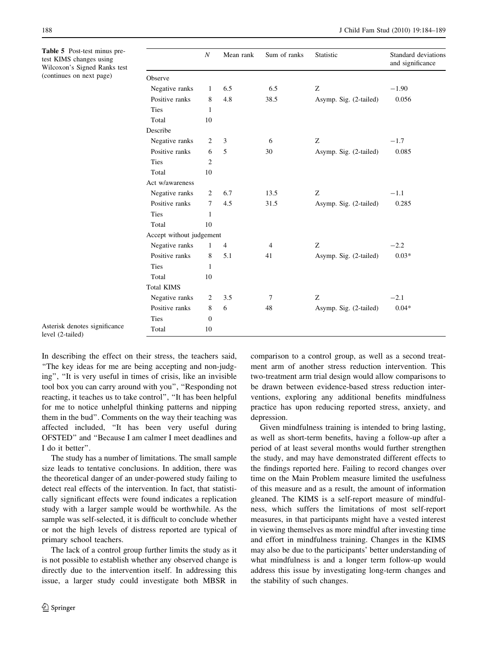<span id="page-4-0"></span>Table 5 Post-test minus pretest KIMS changes using Wilcoxon's Signed Ranks test (continues on next page)

|                          | $\boldsymbol{N}$ | Mean rank      | Sum of ranks   | Statistic              | Standard deviations<br>and significance |
|--------------------------|------------------|----------------|----------------|------------------------|-----------------------------------------|
| Observe                  |                  |                |                |                        |                                         |
| Negative ranks           | 1                | 6.5            | 6.5            | Z                      | $-1.90$                                 |
| Positive ranks           | 8                | 4.8            | 38.5           | Asymp. Sig. (2-tailed) | 0.056                                   |
| <b>Ties</b>              | 1                |                |                |                        |                                         |
| Total                    | 10               |                |                |                        |                                         |
| Describe                 |                  |                |                |                        |                                         |
| Negative ranks           | 2                | 3              | 6              | Z                      | $-1.7$                                  |
| Positive ranks           | 6                | 5              | 30             | Asymp. Sig. (2-tailed) | 0.085                                   |
| <b>Ties</b>              | $\overline{c}$   |                |                |                        |                                         |
| Total                    | 10               |                |                |                        |                                         |
| Act w/awareness          |                  |                |                |                        |                                         |
| Negative ranks           | 2                | 6.7            | 13.5           | Z                      | $-1.1$                                  |
| Positive ranks           | $\tau$           | 4.5            | 31.5           | Asymp. Sig. (2-tailed) | 0.285                                   |
| <b>Ties</b>              | 1                |                |                |                        |                                         |
| Total                    | 10               |                |                |                        |                                         |
| Accept without judgement |                  |                |                |                        |                                         |
| Negative ranks           | 1                | $\overline{4}$ | $\overline{4}$ | Z                      | $-2.2$                                  |
| Positive ranks           | 8                | 5.1            | 41             | Asymp. Sig. (2-tailed) | $0.03*$                                 |
| <b>Ties</b>              | $\mathbf{1}$     |                |                |                        |                                         |
| Total                    | 10               |                |                |                        |                                         |
| <b>Total KIMS</b>        |                  |                |                |                        |                                         |
| Negative ranks           | 2                | 3.5            | $\tau$         | Z                      | $-2.1$                                  |
| Positive ranks           | 8                | 6              | 48             | Asymp. Sig. (2-tailed) | $0.04*$                                 |
| <b>Ties</b>              | $\Omega$         |                |                |                        |                                         |
| Total                    | 10               |                |                |                        |                                         |

Asterisk denotes significance level (2-tailed)

In describing the effect on their stress, the teachers said, ''The key ideas for me are being accepting and non-judging'', ''It is very useful in times of crisis, like an invisible tool box you can carry around with you'', ''Responding not reacting, it teaches us to take control'', ''It has been helpful for me to notice unhelpful thinking patterns and nipping them in the bud''. Comments on the way their teaching was affected included, ''It has been very useful during OFSTED'' and ''Because I am calmer I meet deadlines and I do it better''.

The study has a number of limitations. The small sample size leads to tentative conclusions. In addition, there was the theoretical danger of an under-powered study failing to detect real effects of the intervention. In fact, that statistically significant effects were found indicates a replication study with a larger sample would be worthwhile. As the sample was self-selected, it is difficult to conclude whether or not the high levels of distress reported are typical of primary school teachers.

The lack of a control group further limits the study as it is not possible to establish whether any observed change is directly due to the intervention itself. In addressing this issue, a larger study could investigate both MBSR in

comparison to a control group, as well as a second treatment arm of another stress reduction intervention. This two-treatment arm trial design would allow comparisons to be drawn between evidence-based stress reduction interventions, exploring any additional benefits mindfulness practice has upon reducing reported stress, anxiety, and depression.

Given mindfulness training is intended to bring lasting, as well as short-term benefits, having a follow-up after a period of at least several months would further strengthen the study, and may have demonstrated different effects to the findings reported here. Failing to record changes over time on the Main Problem measure limited the usefulness of this measure and as a result, the amount of information gleaned. The KIMS is a self-report measure of mindfulness, which suffers the limitations of most self-report measures, in that participants might have a vested interest in viewing themselves as more mindful after investing time and effort in mindfulness training. Changes in the KIMS may also be due to the participants' better understanding of what mindfulness is and a longer term follow-up would address this issue by investigating long-term changes and the stability of such changes.